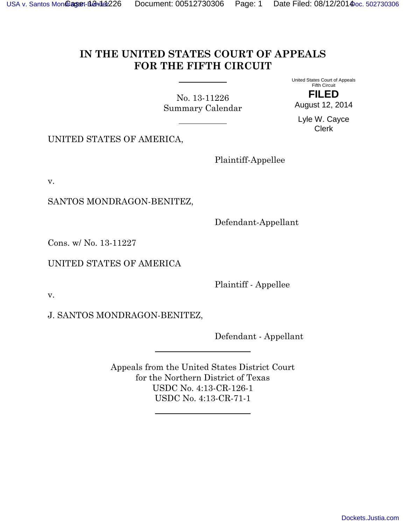# **IN THE UNITED STATES COURT OF APPEALS FOR THE FIFTH CIRCUIT**

<span id="page-0-0"></span>No. 13-11226 Summary Calendar United States Court of Appeals Fifth Circuit

**FILED** August 12, 2014

Lyle W. Cayce Clerk

UNITED STATES OF AMERICA,

Plaintiff-Appellee

v.

SANTOS MONDRAGON-BENITEZ,

Defendant-Appellant

Cons. w/ No. 13-11227

### UNITED STATES OF AMERICA

Plaintiff - Appellee

v.

J. SANTOS MONDRAGON-BENITEZ,

Defendant - Appellant

Appeals from the United States District Court for the Northern District of Texas USDC No. 4:13-CR-126-1 USDC No. 4:13-CR-71-1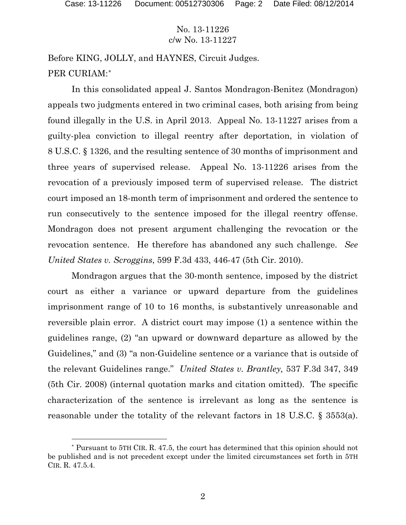l

#### No. [13-11226](#page-0-0) c/w No. 13-11227

Before KING, JOLLY, and HAYNES, Circuit Judges. PER CURIAM:[\\*](#page-1-0)

In this consolidated appeal J. Santos Mondragon-Benitez (Mondragon) appeals two judgments entered in two criminal cases, both arising from being found illegally in the U.S. in April 2013. Appeal No. 13-11227 arises from a guilty-plea conviction to illegal reentry after deportation, in violation of 8 U.S.C. § 1326, and the resulting sentence of 30 months of imprisonment and three years of supervised release. Appeal No. 13-11226 arises from the revocation of a previously imposed term of supervised release. The district court imposed an 18-month term of imprisonment and ordered the sentence to run consecutively to the sentence imposed for the illegal reentry offense. Mondragon does not present argument challenging the revocation or the revocation sentence. He therefore has abandoned any such challenge. *See United States v. Scroggins*, 599 F.3d 433, 446-47 (5th Cir. 2010).

Mondragon argues that the 30-month sentence, imposed by the district court as either a variance or upward departure from the guidelines imprisonment range of 10 to 16 months, is substantively unreasonable and reversible plain error. A district court may impose (1) a sentence within the guidelines range, (2) "an upward or downward departure as allowed by the Guidelines," and (3) "a non-Guideline sentence or a variance that is outside of the relevant Guidelines range." *United States v. Brantley,* 537 F.3d 347, 349 (5th Cir. 2008) (internal quotation marks and citation omitted). The specific characterization of the sentence is irrelevant as long as the sentence is reasonable under the totality of the relevant factors in 18 U.S.C. § 3553(a).

<span id="page-1-0"></span><sup>\*</sup> Pursuant to 5TH CIR. R. 47.5, the court has determined that this opinion should not be published and is not precedent except under the limited circumstances set forth in 5TH CIR. R. 47.5.4.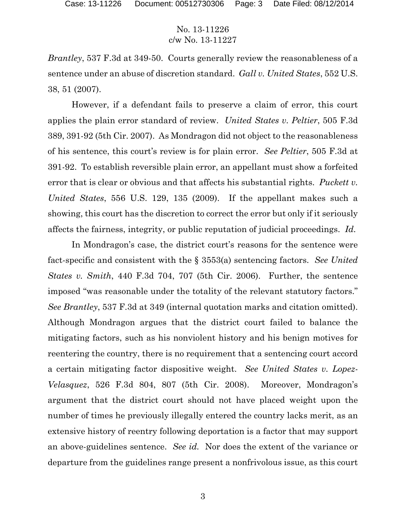#### No. [13-11226](#page-0-0) c/w No. 13-11227

*Brantley*, 537 F.3d at 349-50. Courts generally review the reasonableness of a sentence under an abuse of discretion standard. *Gall v. United States*, 552 U.S. 38, 51 (2007).

However, if a defendant fails to preserve a claim of error, this court applies the plain error standard of review. *United States v. Peltier*, 505 F.3d 389, 391-92 (5th Cir. 2007). As Mondragon did not object to the reasonableness of his sentence, this court's review is for plain error. *See Peltier*, 505 F.3d at 391-92. To establish reversible plain error, an appellant must show a forfeited error that is clear or obvious and that affects his substantial rights. *Puckett v. United States*, 556 U.S. 129, 135 (2009). If the appellant makes such a showing, this court has the discretion to correct the error but only if it seriously affects the fairness, integrity, or public reputation of judicial proceedings. *Id.*

In Mondragon's case, the district court's reasons for the sentence were fact-specific and consistent with the § 3553(a) sentencing factors. *See United States v. Smith*, 440 F.3d 704, 707 (5th Cir. 2006). Further, the sentence imposed "was reasonable under the totality of the relevant statutory factors." *See Brantley*, 537 F.3d at 349 (internal quotation marks and citation omitted). Although Mondragon argues that the district court failed to balance the mitigating factors, such as his nonviolent history and his benign motives for reentering the country, there is no requirement that a sentencing court accord a certain mitigating factor dispositive weight. *See United States v. Lopez-Velasquez*, 526 F.3d 804, 807 (5th Cir. 2008). Moreover, Mondragon's argument that the district court should not have placed weight upon the number of times he previously illegally entered the country lacks merit, as an extensive history of reentry following deportation is a factor that may support an above-guidelines sentence. *See id.* Nor does the extent of the variance or departure from the guidelines range present a nonfrivolous issue, as this court